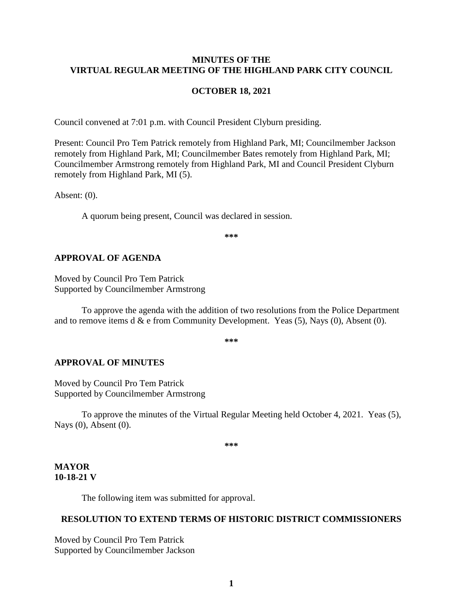### **MINUTES OF THE VIRTUAL REGULAR MEETING OF THE HIGHLAND PARK CITY COUNCIL**

#### **OCTOBER 18, 2021**

Council convened at 7:01 p.m. with Council President Clyburn presiding.

Present: Council Pro Tem Patrick remotely from Highland Park, MI; Councilmember Jackson remotely from Highland Park, MI; Councilmember Bates remotely from Highland Park, MI; Councilmember Armstrong remotely from Highland Park, MI and Council President Clyburn remotely from Highland Park, MI (5).

Absent: (0).

A quorum being present, Council was declared in session.

**\*\*\***

#### **APPROVAL OF AGENDA**

Moved by Council Pro Tem Patrick Supported by Councilmember Armstrong

To approve the agenda with the addition of two resolutions from the Police Department and to remove items d  $\&$  e from Community Development. Yeas (5), Nays (0), Absent (0).

**\*\*\***

#### **APPROVAL OF MINUTES**

Moved by Council Pro Tem Patrick Supported by Councilmember Armstrong

To approve the minutes of the Virtual Regular Meeting held October 4, 2021.Yeas (5), Nays (0), Absent (0).

**\*\*\***

### **MAYOR 10-18-21 V**

The following item was submitted for approval.

#### **RESOLUTION TO EXTEND TERMS OF HISTORIC DISTRICT COMMISSIONERS**

Moved by Council Pro Tem Patrick Supported by Councilmember Jackson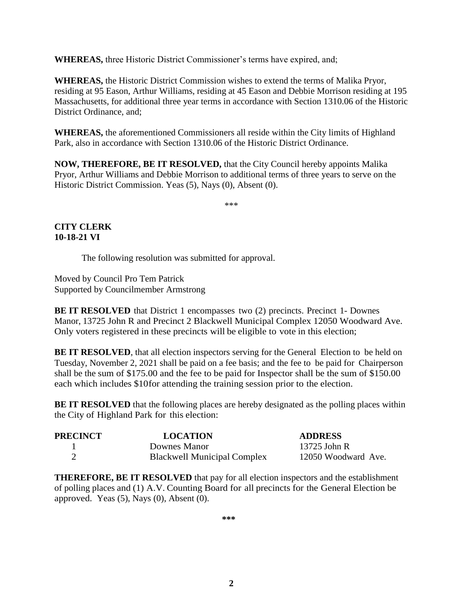**WHEREAS,** three Historic District Commissioner's terms have expired, and;

**WHEREAS,** the Historic District Commission wishes to extend the terms of Malika Pryor, residing at 95 Eason, Arthur Williams, residing at 45 Eason and Debbie Morrison residing at 195 Massachusetts, for additional three year terms in accordance with Section 1310.06 of the Historic District Ordinance, and;

**WHEREAS,** the aforementioned Commissioners all reside within the City limits of Highland Park, also in accordance with Section 1310.06 of the Historic District Ordinance.

**NOW, THEREFORE, BE IT RESOLVED,** that the City Council hereby appoints Malika Pryor, Arthur Williams and Debbie Morrison to additional terms of three years to serve on the Historic District Commission. Yeas (5), Nays (0), Absent (0).

\*\*\*

# **CITY CLERK 10-18-21 VI**

The following resolution was submitted for approval.

Moved by Council Pro Tem Patrick Supported by Councilmember Armstrong

**BE IT RESOLVED** that District 1 encompasses two (2) precincts. Precinct 1- Downes Manor, 13725 John R and Precinct 2 Blackwell Municipal Complex 12050 Woodward Ave. Only voters registered in these precincts will be eligible to vote in this election;

**BE IT RESOLVED**, that all election inspectors serving for the General Election to be held on Tuesday, November 2, 2021 shall be paid on a fee basis; and the fee to be paid for Chairperson shall be the sum of \$175.00 and the fee to be paid for Inspector shall be the sum of \$150.00 each which includes \$10for attending the training session prior to the election.

**BE IT RESOLVED** that the following places are hereby designated as the polling places within the City of Highland Park for this election:

| <b>PRECINCT</b> | <b>LOCATION</b>                    | <b>ADDRESS</b>      |
|-----------------|------------------------------------|---------------------|
|                 | Downes Manor                       | 13725 John R        |
|                 | <b>Blackwell Municipal Complex</b> | 12050 Woodward Ave. |

**THEREFORE, BE IT RESOLVED** that pay for all election inspectors and the establishment of polling places and (1) A.V. Counting Board for all precincts for the General Election be approved. Yeas  $(5)$ , Nays  $(0)$ , Absent  $(0)$ .

**\*\*\***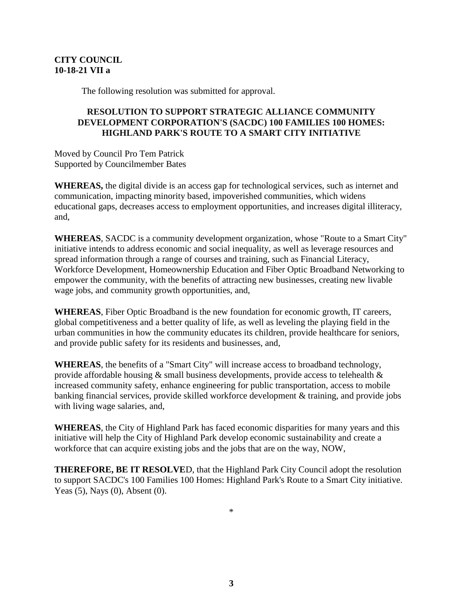# **CITY COUNCIL 10-18-21 VII a**

The following resolution was submitted for approval.

# **RESOLUTION TO SUPPORT STRATEGIC ALLIANCE COMMUNITY DEVELOPMENT CORPORATION'S (SACDC) 100 FAMILIES 100 HOMES: HIGHLAND PARK'S ROUTE TO A SMART CITY INITIATIVE**

Moved by Council Pro Tem Patrick Supported by Councilmember Bates

**WHEREAS,** the digital divide is an access gap for technological services, such as internet and communication, impacting minority based, impoverished communities, which widens educational gaps, decreases access to employment opportunities, and increases digital illiteracy, and,

**WHEREAS**, SACDC is a community development organization, whose "Route to a Smart City" initiative intends to address economic and social inequality, as well as leverage resources and spread information through a range of courses and training, such as Financial Literacy, Workforce Development, Homeownership Education and Fiber Optic Broadband Networking to empower the community, with the benefits of attracting new businesses, creating new livable wage jobs, and community growth opportunities, and,

**WHEREAS**, Fiber Optic Broadband is the new foundation for economic growth, IT careers, global competitiveness and a better quality of life, as well as leveling the playing field in the urban communities in how the community educates its children, provide healthcare for seniors, and provide public safety for its residents and businesses, and,

**WHEREAS**, the benefits of a "Smart City" will increase access to broadband technology, provide affordable housing & small business developments, provide access to telehealth & increased community safety, enhance engineering for public transportation, access to mobile banking financial services, provide skilled workforce development & training, and provide jobs with living wage salaries, and,

**WHEREAS**, the City of Highland Park has faced economic disparities for many years and this initiative will help the City of Highland Park develop economic sustainability and create a workforce that can acquire existing jobs and the jobs that are on the way, NOW,

**THEREFORE, BE IT RESOLVE**D, that the Highland Park City Council adopt the resolution to support SACDC's 100 Families 100 Homes: Highland Park's Route to a Smart City initiative. Yeas (5), Nays (0), Absent (0).

\*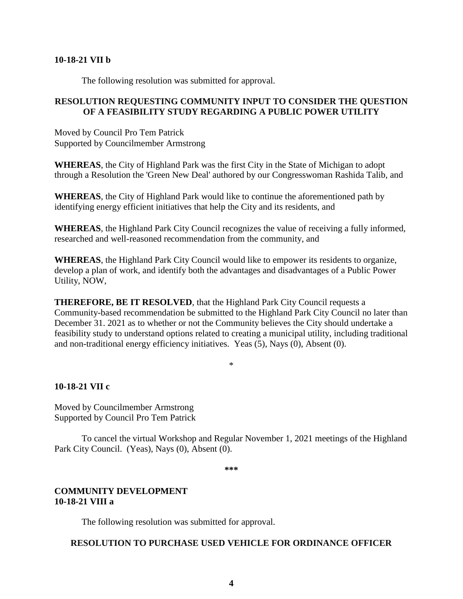#### **10-18-21 VII b**

The following resolution was submitted for approval.

## **RESOLUTION REQUESTING COMMUNITY INPUT TO CONSIDER THE QUESTION OF A FEASIBILITY STUDY REGARDING A PUBLIC POWER UTILITY**

Moved by Council Pro Tem Patrick Supported by Councilmember Armstrong

**WHEREAS**, the City of Highland Park was the first City in the State of Michigan to adopt through a Resolution the 'Green New Deal' authored by our Congresswoman Rashida Talib, and

**WHEREAS**, the City of Highland Park would like to continue the aforementioned path by identifying energy efficient initiatives that help the City and its residents, and

**WHEREAS**, the Highland Park City Council recognizes the value of receiving a fully informed, researched and well-reasoned recommendation from the community, and

**WHEREAS**, the Highland Park City Council would like to empower its residents to organize, develop a plan of work, and identify both the advantages and disadvantages of a Public Power Utility, NOW,

**THEREFORE, BE IT RESOLVED**, that the Highland Park City Council requests a Community-based recommendation be submitted to the Highland Park City Council no later than December 31. 2021 as to whether or not the Community believes the City should undertake a feasibility study to understand options related to creating a municipal utility, including traditional and non-traditional energy efficiency initiatives. Yeas (5), Nays (0), Absent (0).

\*

### **10-18-21 VII c**

Moved by Councilmember Armstrong Supported by Council Pro Tem Patrick

To cancel the virtual Workshop and Regular November 1, 2021 meetings of the Highland Park City Council. (Yeas), Nays (0), Absent (0).

**\*\*\***

## **COMMUNITY DEVELOPMENT 10-18-21 VIII a**

The following resolution was submitted for approval.

### **RESOLUTION TO PURCHASE USED VEHICLE FOR ORDINANCE OFFICER**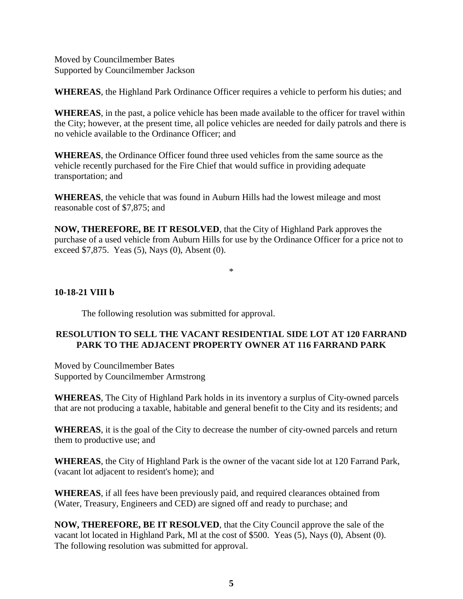Moved by Councilmember Bates Supported by Councilmember Jackson

**WHEREAS**, the Highland Park Ordinance Officer requires a vehicle to perform his duties; and

**WHEREAS**, in the past, a police vehicle has been made available to the officer for travel within the City; however, at the present time, all police vehicles are needed for daily patrols and there is no vehicle available to the Ordinance Officer; and

**WHEREAS**, the Ordinance Officer found three used vehicles from the same source as the vehicle recently purchased for the Fire Chief that would suffice in providing adequate transportation; and

**WHEREAS**, the vehicle that was found in Auburn Hills had the lowest mileage and most reasonable cost of \$7,875; and

**NOW, THEREFORE, BE IT RESOLVED**, that the City of Highland Park approves the purchase of a used vehicle from Auburn Hills for use by the Ordinance Officer for a price not to exceed \$7,875. Yeas (5), Nays (0), Absent (0).

\*

## **10-18-21 VIII b**

The following resolution was submitted for approval.

## **RESOLUTION TO SELL THE VACANT RESIDENTIAL SIDE LOT AT 120 FARRAND PARK TO THE ADJACENT PROPERTY OWNER AT 116 FARRAND PARK**

Moved by Councilmember Bates Supported by Councilmember Armstrong

**WHEREAS**, The City of Highland Park holds in its inventory a surplus of City-owned parcels that are not producing a taxable, habitable and general benefit to the City and its residents; and

**WHEREAS**, it is the goal of the City to decrease the number of city-owned parcels and return them to productive use; and

**WHEREAS**, the City of Highland Park is the owner of the vacant side lot at 120 Farrand Park, (vacant lot adjacent to resident's home); and

**WHEREAS**, if all fees have been previously paid, and required clearances obtained from (Water, Treasury, Engineers and CED) are signed off and ready to purchase; and

**NOW, THEREFORE, BE IT RESOLVED**, that the City Council approve the sale of the vacant lot located in Highland Park, Ml at the cost of \$500. Yeas (5), Nays (0), Absent (0). The following resolution was submitted for approval.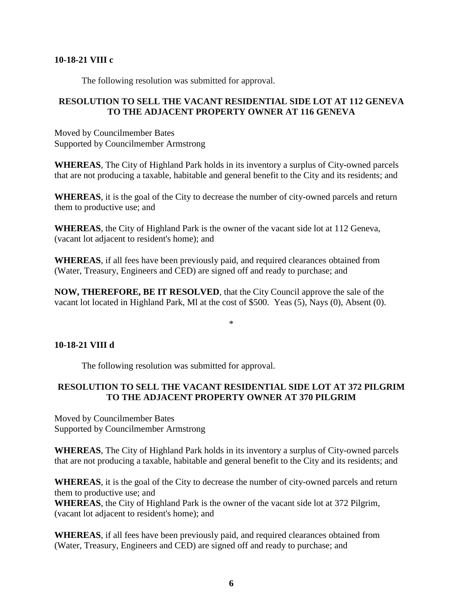### **10-18-21 VIII c**

The following resolution was submitted for approval.

## **RESOLUTION TO SELL THE VACANT RESIDENTIAL SIDE LOT AT 112 GENEVA TO THE ADJACENT PROPERTY OWNER AT 116 GENEVA**

Moved by Councilmember Bates Supported by Councilmember Armstrong

**WHEREAS**, The City of Highland Park holds in its inventory a surplus of City-owned parcels that are not producing a taxable, habitable and general benefit to the City and its residents; and

**WHEREAS**, it is the goal of the City to decrease the number of city-owned parcels and return them to productive use; and

**WHEREAS**, the City of Highland Park is the owner of the vacant side lot at 112 Geneva, (vacant lot adjacent to resident's home); and

**WHEREAS**, if all fees have been previously paid, and required clearances obtained from (Water, Treasury, Engineers and CED) are signed off and ready to purchase; and

**NOW, THEREFORE, BE IT RESOLVED**, that the City Council approve the sale of the vacant lot located in Highland Park, Ml at the cost of \$500. Yeas (5), Nays (0), Absent (0).

\*

# **10-18-21 VIII d**

The following resolution was submitted for approval.

# **RESOLUTION TO SELL THE VACANT RESIDENTIAL SIDE LOT AT 372 PILGRIM TO THE ADJACENT PROPERTY OWNER AT 370 PILGRIM**

Moved by Councilmember Bates Supported by Councilmember Armstrong

**WHEREAS**, The City of Highland Park holds in its inventory a surplus of City-owned parcels that are not producing a taxable, habitable and general benefit to the City and its residents; and

**WHEREAS**, it is the goal of the City to decrease the number of city-owned parcels and return them to productive use; and

**WHEREAS**, the City of Highland Park is the owner of the vacant side lot at 372 Pilgrim, (vacant lot adjacent to resident's home); and

**WHEREAS**, if all fees have been previously paid, and required clearances obtained from (Water, Treasury, Engineers and CED) are signed off and ready to purchase; and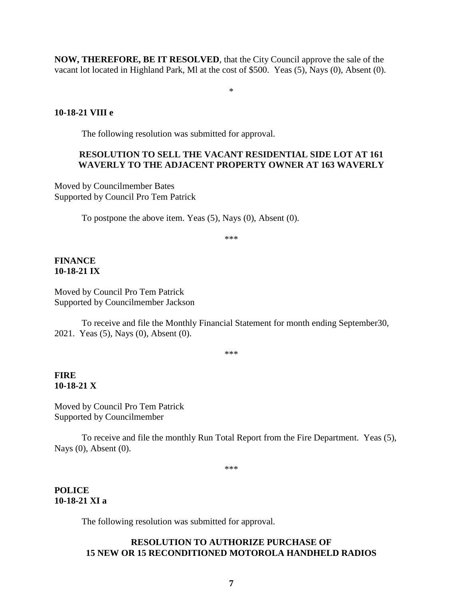**NOW, THEREFORE, BE IT RESOLVED**, that the City Council approve the sale of the vacant lot located in Highland Park, Ml at the cost of \$500. Yeas (5), Nays (0), Absent (0).

\*

## **10-18-21 VIII e**

The following resolution was submitted for approval.

### **RESOLUTION TO SELL THE VACANT RESIDENTIAL SIDE LOT AT 161 WAVERLY TO THE ADJACENT PROPERTY OWNER AT 163 WAVERLY**

Moved by Councilmember Bates Supported by Council Pro Tem Patrick

To postpone the above item. Yeas (5), Nays (0), Absent (0).

\*\*\*

### **FINANCE 10-18-21 IX**

Moved by Council Pro Tem Patrick Supported by Councilmember Jackson

To receive and file the Monthly Financial Statement for month ending September30, 2021. Yeas (5), Nays (0), Absent (0).

\*\*\*

# **FIRE 10-18-21 X**

Moved by Council Pro Tem Patrick Supported by Councilmember

To receive and file the monthly Run Total Report from the Fire Department. Yeas (5), Nays (0), Absent (0).

\*\*\*

### **POLICE 10-18-21 XI a**

The following resolution was submitted for approval.

## **RESOLUTION TO AUTHORIZE PURCHASE OF 15 NEW OR 15 RECONDITIONED MOTOROLA HANDHELD RADIOS**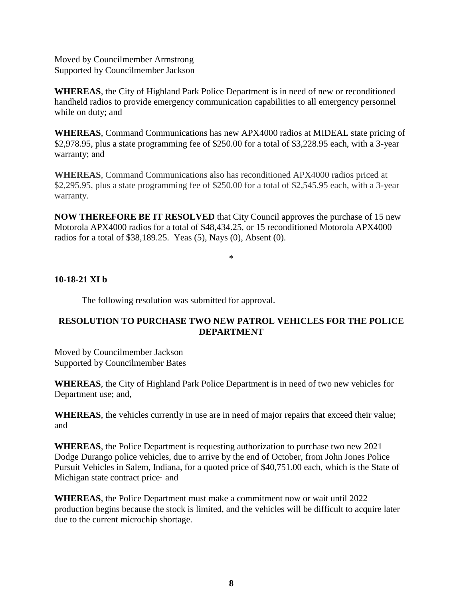Moved by Councilmember Armstrong Supported by Councilmember Jackson

**WHEREAS**, the City of Highland Park Police Department is in need of new or reconditioned handheld radios to provide emergency communication capabilities to all emergency personnel while on duty; and

**WHEREAS**, Command Communications has new APX4000 radios at MIDEAL state pricing of \$2,978.95, plus a state programming fee of \$250.00 for a total of \$3,228.95 each, with a 3-year warranty; and

**WHEREAS**, Command Communications also has reconditioned APX4000 radios priced at \$2,295.95, plus a state programming fee of \$250.00 for a total of \$2,545.95 each, with a 3-year warranty.

**NOW THEREFORE BE IT RESOLVED** that City Council approves the purchase of 15 new Motorola APX4000 radios for a total of \$48,434.25, or 15 reconditioned Motorola APX4000 radios for a total of \$38,189.25. Yeas (5), Nays (0), Absent (0).

\*

# **10-18-21 XI b**

The following resolution was submitted for approval.

## **RESOLUTION TO PURCHASE TWO NEW PATROL VEHICLES FOR THE POLICE DEPARTMENT**

Moved by Councilmember Jackson Supported by Councilmember Bates

**WHEREAS**, the City of Highland Park Police Department is in need of two new vehicles for Department use; and,

**WHEREAS**, the vehicles currently in use are in need of major repairs that exceed their value; and

**WHEREAS**, the Police Department is requesting authorization to purchase two new 2021 Dodge Durango police vehicles, due to arrive by the end of October, from John Jones Police Pursuit Vehicles in Salem, Indiana, for a quoted price of \$40,751.00 each, which is the State of Michigan state contract price and

**WHEREAS**, the Police Department must make a commitment now or wait until 2022 production begins because the stock is limited, and the vehicles will be difficult to acquire later due to the current microchip shortage.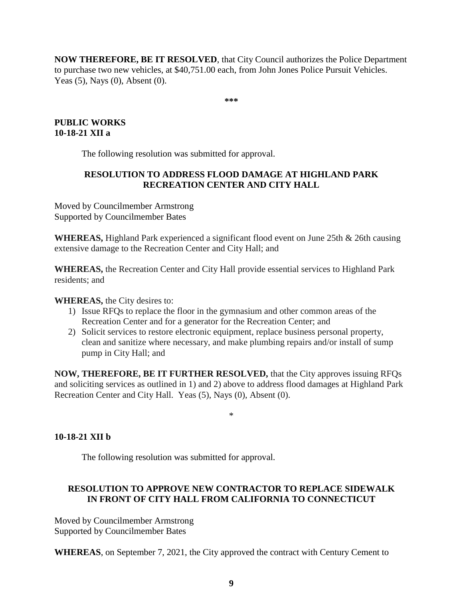**NOW THEREFORE, BE IT RESOLVED**, that City Council authorizes the Police Department to purchase two new vehicles, at \$40,751.00 each, from John Jones Police Pursuit Vehicles. Yeas (5), Nays (0), Absent (0).

**\*\*\***

# **PUBLIC WORKS 10-18-21 XII a**

The following resolution was submitted for approval.

# **RESOLUTION TO ADDRESS FLOOD DAMAGE AT HIGHLAND PARK RECREATION CENTER AND CITY HALL**

Moved by Councilmember Armstrong Supported by Councilmember Bates

**WHEREAS,** Highland Park experienced a significant flood event on June 25th & 26th causing extensive damage to the Recreation Center and City Hall; and

**WHEREAS,** the Recreation Center and City Hall provide essential services to Highland Park residents; and

# **WHEREAS,** the City desires to:

- 1) Issue RFQs to replace the floor in the gymnasium and other common areas of the Recreation Center and for a generator for the Recreation Center; and
- 2) Solicit services to restore electronic equipment, replace business personal property, clean and sanitize where necessary, and make plumbing repairs and/or install of sump pump in City Hall; and

**NOW, THEREFORE, BE IT FURTHER RESOLVED,** that the City approves issuing RFQs and soliciting services as outlined in 1) and 2) above to address flood damages at Highland Park Recreation Center and City Hall. Yeas (5), Nays (0), Absent (0).

#### \*

# **10-18-21 XII b**

The following resolution was submitted for approval.

# **RESOLUTION TO APPROVE NEW CONTRACTOR TO REPLACE SIDEWALK IN FRONT OF CITY HALL FROM CALIFORNIA TO CONNECTICUT**

Moved by Councilmember Armstrong Supported by Councilmember Bates

**WHEREAS**, on September 7, 2021, the City approved the contract with Century Cement to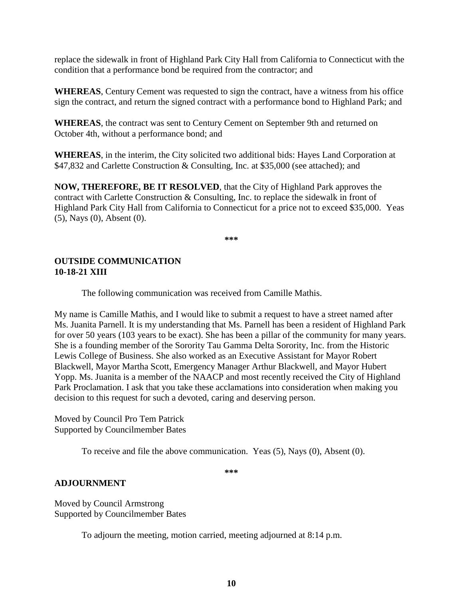replace the sidewalk in front of Highland Park City Hall from California to Connecticut with the condition that a performance bond be required from the contractor; and

**WHEREAS**, Century Cement was requested to sign the contract, have a witness from his office sign the contract, and return the signed contract with a performance bond to Highland Park; and

**WHEREAS**, the contract was sent to Century Cement on September 9th and returned on October 4th, without a performance bond; and

**WHEREAS**, in the interim, the City solicited two additional bids: Hayes Land Corporation at \$47,832 and Carlette Construction & Consulting, Inc. at \$35,000 (see attached); and

**NOW, THEREFORE, BE IT RESOLVED**, that the City of Highland Park approves the contract with Carlette Construction & Consulting, Inc. to replace the sidewalk in front of Highland Park City Hall from California to Connecticut for a price not to exceed \$35,000. Yeas (5), Nays (0), Absent (0).

**\*\*\***

### **OUTSIDE COMMUNICATION 10-18-21 XIII**

The following communication was received from Camille Mathis.

My name is Camille Mathis, and I would like to submit a request to have a street named after Ms. Juanita Parnell. It is my understanding that Ms. Parnell has been a resident of Highland Park for over 50 years (103 years to be exact). She has been a pillar of the community for many years. She is a founding member of the Sorority Tau Gamma Delta Sorority, Inc. from the Historic Lewis College of Business. She also worked as an Executive Assistant for Mayor Robert Blackwell, Mayor Martha Scott, Emergency Manager Arthur Blackwell, and Mayor Hubert Yopp. Ms. Juanita is a member of the NAACP and most recently received the City of Highland Park Proclamation. I ask that you take these acclamations into consideration when making you decision to this request for such a devoted, caring and deserving person.

Moved by Council Pro Tem Patrick Supported by Councilmember Bates

To receive and file the above communication. Yeas (5), Nays (0), Absent (0).

**\*\*\***

# **ADJOURNMENT**

Moved by Council Armstrong Supported by Councilmember Bates

To adjourn the meeting, motion carried, meeting adjourned at 8:14 p.m.